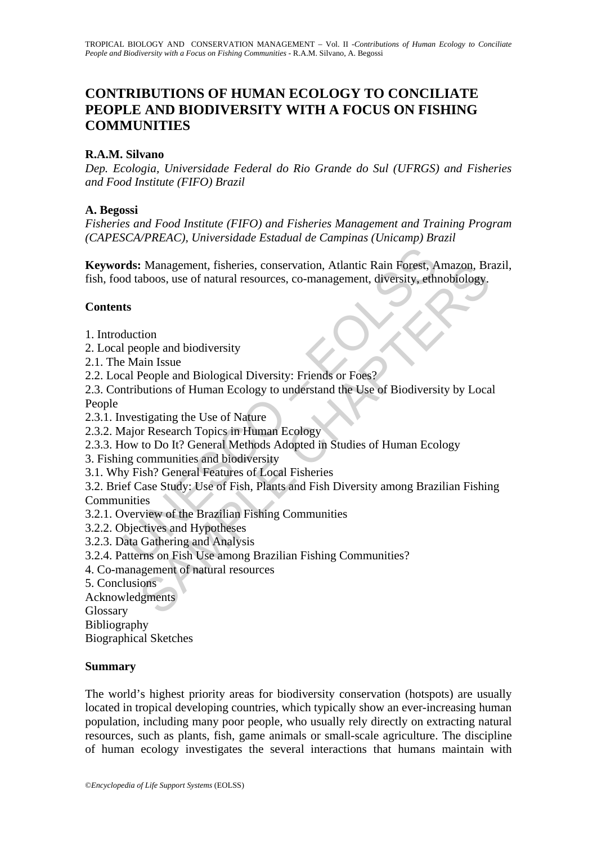# **CONTRIBUTIONS OF HUMAN ECOLOGY TO CONCILIATE PEOPLE AND BIODIVERSITY WITH A FOCUS ON FISHING COMMUNITIES**

#### **R.A.M. Silvano**

*Dep. Ecologia, Universidade Federal do Rio Grande do Sul (UFRGS) and Fisheries and Food Institute (FIFO) Brazil* 

#### **A. Begossi**

*Fisheries and Food Institute (FIFO) and Fisheries Management and Training Program (CAPESCA/PREAC), Universidade Estadual de Campinas (Unicamp) Brazil* 

rds: Management, fisheries, conservation, Atlantic Rain Forest, A<br>
d taboos, use of natural resources, co-management, diversity, eth<br>
ts<br>
Main Issue<br>
Main Issue<br>
El Main Issue<br>
El Main Issue<br>
El Paine and Biological Divers **Keywords:** Management, fisheries, conservation, Atlantic Rain Forest, Amazon, Brazil, fish, food taboos, use of natural resources, co-management, diversity, ethnobiology.

#### **Contents**

- 1. Introduction
- 2. Local people and biodiversity
- 2.1. The Main Issue
- 2.2. Local People and Biological Diversity: Friends or Foes?

: Management, fisheries, conservation, Atlantic Rain Forest, Amazon, Braboos, use of natural resources, co-management, diversity, ethnobiology.<br>
aboos, use of natural resources, co-management, diversity, ethnobiology.<br>
Dep 2.3. Contributions of Human Ecology to understand the Use of Biodiversity by Local People

- 2.3.1. Investigating the Use of Nature
- 2.3.2. Major Research Topics in Human Ecology
- 2.3.3. How to Do It? General Methods Adopted in Studies of Human Ecology
- 3. Fishing communities and biodiversity
- 3.1. Why Fish? General Features of Local Fisheries
- 3.2. Brief Case Study: Use of Fish, Plants and Fish Diversity among Brazilian Fishing **Communities**
- 3.2.1. Overview of the Brazilian Fishing Communities
- 3.2.2. Objectives and Hypotheses
- 3.2.3. Data Gathering and Analysis
- 3.2.4. Patterns on Fish Use among Brazilian Fishing Communities?
- 4. Co-management of natural resources
- 5. Conclusions

Acknowledgments

Glossary

Bibliography

Biographical Sketches

#### **Summary**

The world's highest priority areas for biodiversity conservation (hotspots) are usually located in tropical developing countries, which typically show an ever-increasing human population, including many poor people, who usually rely directly on extracting natural resources, such as plants, fish, game animals or small-scale agriculture. The discipline of human ecology investigates the several interactions that humans maintain with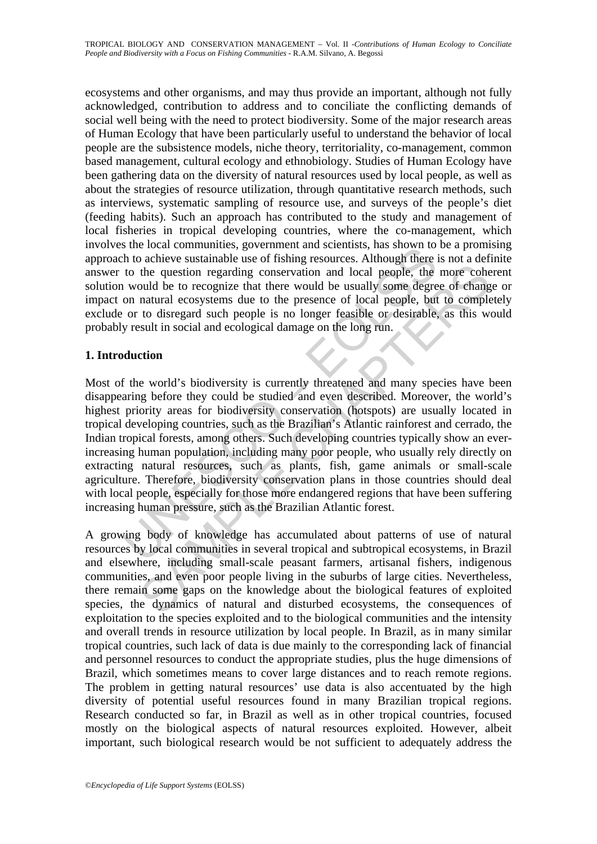ecosystems and other organisms, and may thus provide an important, although not fully acknowledged, contribution to address and to conciliate the conflicting demands of social well being with the need to protect biodiversity. Some of the major research areas of Human Ecology that have been particularly useful to understand the behavior of local people are the subsistence models, niche theory, territoriality, co-management, common based management, cultural ecology and ethnobiology. Studies of Human Ecology have been gathering data on the diversity of natural resources used by local people, as well as about the strategies of resource utilization, through quantitative research methods, such as interviews, systematic sampling of resource use, and surveys of the people's diet (feeding habits). Such an approach has contributed to the study and management of local fisheries in tropical developing countries, where the co-management, which involves the local communities, government and scientists, has shown to be a promising approach to achieve sustainable use of fishing resources. Although there is not a definite answer to the question regarding conservation and local people, the more coherent solution would be to recognize that there would be usually some degree of change or impact on natural ecosystems due to the presence of local people, but to completely exclude or to disregard such people is no longer feasible or desirable, as this would probably result in social and ecological damage on the long run.

### **1. Introduction**

since is controllation as government and scientists, its shown to the to derive sustainable use of fishing resources. Although there is to the question regarding conservation and local people, the would be to recognize tha the question regarding conservation and local people, the more cohould be to recognize that there would be usually some degree of change and to disregard such people is no longer feasible constrained to disregard such peop Most of the world's biodiversity is currently threatened and many species have been disappearing before they could be studied and even described. Moreover, the world's highest priority areas for biodiversity conservation (hotspots) are usually located in tropical developing countries, such as the Brazilian's Atlantic rainforest and cerrado, the Indian tropical forests, among others. Such developing countries typically show an everincreasing human population, including many poor people, who usually rely directly on extracting natural resources, such as plants, fish, game animals or small-scale agriculture. Therefore, biodiversity conservation plans in those countries should deal with local people, especially for those more endangered regions that have been suffering increasing human pressure, such as the Brazilian Atlantic forest.

A growing body of knowledge has accumulated about patterns of use of natural resources by local communities in several tropical and subtropical ecosystems, in Brazil and elsewhere, including small-scale peasant farmers, artisanal fishers, indigenous communities, and even poor people living in the suburbs of large cities. Nevertheless, there remain some gaps on the knowledge about the biological features of exploited species, the dynamics of natural and disturbed ecosystems, the consequences of exploitation to the species exploited and to the biological communities and the intensity and overall trends in resource utilization by local people. In Brazil, as in many similar tropical countries, such lack of data is due mainly to the corresponding lack of financial and personnel resources to conduct the appropriate studies, plus the huge dimensions of Brazil, which sometimes means to cover large distances and to reach remote regions. The problem in getting natural resources' use data is also accentuated by the high diversity of potential useful resources found in many Brazilian tropical regions. Research conducted so far, in Brazil as well as in other tropical countries, focused mostly on the biological aspects of natural resources exploited. However, albeit important, such biological research would be not sufficient to adequately address the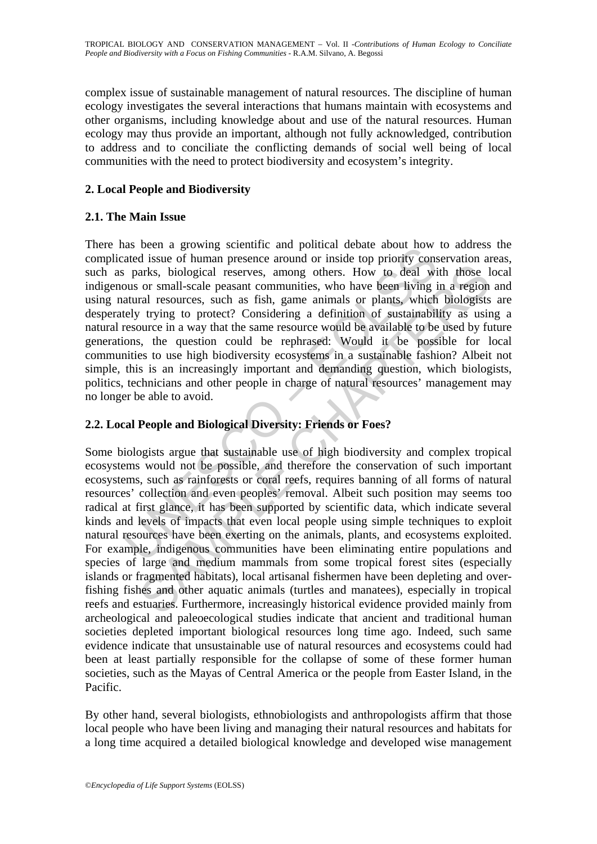complex issue of sustainable management of natural resources. The discipline of human ecology investigates the several interactions that humans maintain with ecosystems and other organisms, including knowledge about and use of the natural resources. Human ecology may thus provide an important, although not fully acknowledged, contribution to address and to conciliate the conflicting demands of social well being of local communities with the need to protect biodiversity and ecosystem's integrity.

## **2. Local People and Biodiversity**

#### **2.1. The Main Issue**

as been a growing scientine and pointed needs about now<br>atated issue of human presence around or inside top priority cons<br>is parks, biological reserves, among others. How to deal wi<br>ous or small-scale peasant communities, There has been a growing scientific and political debate about how to address the complicated issue of human presence around or inside top priority conservation areas, such as parks, biological reserves, among others. How to deal with those local indigenous or small-scale peasant communities, who have been living in a region and using natural resources, such as fish, game animals or plants, which biologists are desperately trying to protect? Considering a definition of sustainability as using a natural resource in a way that the same resource would be available to be used by future generations, the question could be rephrased: Would it be possible for local communities to use high biodiversity ecosystems in a sustainable fashion? Albeit not simple, this is an increasingly important and demanding question, which biologists, politics, technicians and other people in charge of natural resources' management may no longer be able to avoid.

## **2.2. Local People and Biological Diversity: Friends or Foes?**

arks, biological reserves, among others. How to deal with those I<br>or small-scale peasant communities, who have been living in a region<br>or small-scale peasant communities, who have been living in a region<br>ral resources, suc Some biologists argue that sustainable use of high biodiversity and complex tropical ecosystems would not be possible, and therefore the conservation of such important ecosystems, such as rainforests or coral reefs, requires banning of all forms of natural resources' collection and even peoples' removal. Albeit such position may seems too radical at first glance, it has been supported by scientific data, which indicate several kinds and levels of impacts that even local people using simple techniques to exploit natural resources have been exerting on the animals, plants, and ecosystems exploited. For example, indigenous communities have been eliminating entire populations and species of large and medium mammals from some tropical forest sites (especially islands or fragmented habitats), local artisanal fishermen have been depleting and overfishing fishes and other aquatic animals (turtles and manatees), especially in tropical reefs and estuaries. Furthermore, increasingly historical evidence provided mainly from archeological and paleoecological studies indicate that ancient and traditional human societies depleted important biological resources long time ago. Indeed, such same evidence indicate that unsustainable use of natural resources and ecosystems could had been at least partially responsible for the collapse of some of these former human societies, such as the Mayas of Central America or the people from Easter Island, in the Pacific.

By other hand, several biologists, ethnobiologists and anthropologists affirm that those local people who have been living and managing their natural resources and habitats for a long time acquired a detailed biological knowledge and developed wise management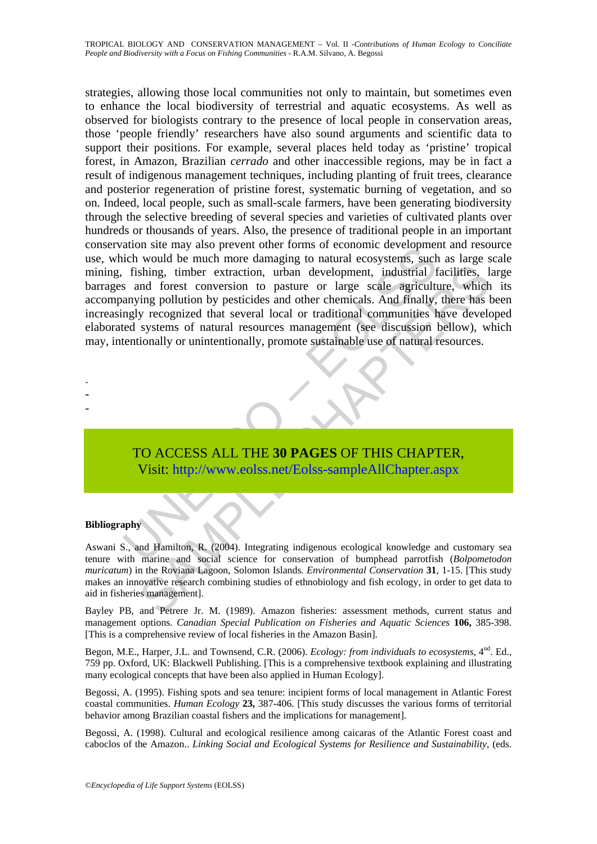ation site may also prevent outer toims or economic teveropinear<br>tich would be much more damaging to natural ecosystems, such<br>fishing, timber extraction, urban development, industrial f<br>s and forest conversion to pasture o shing, timber extraction, urban development, industrial facilities, I<br>shing, timber extraction, urban development, industrial facilities, I<br>eving pollution by pesticides and other chemicals. And finally, there has<br>by recog strategies, allowing those local communities not only to maintain, but sometimes even to enhance the local biodiversity of terrestrial and aquatic ecosystems. As well as observed for biologists contrary to the presence of local people in conservation areas, those 'people friendly' researchers have also sound arguments and scientific data to support their positions. For example, several places held today as 'pristine' tropical forest, in Amazon, Brazilian *cerrado* and other inaccessible regions, may be in fact a result of indigenous management techniques, including planting of fruit trees, clearance and posterior regeneration of pristine forest, systematic burning of vegetation, and so on. Indeed, local people, such as small-scale farmers, have been generating biodiversity through the selective breeding of several species and varieties of cultivated plants over hundreds or thousands of years. Also, the presence of traditional people in an important conservation site may also prevent other forms of economic development and resource use, which would be much more damaging to natural ecosystems, such as large scale mining, fishing, timber extraction, urban development, industrial facilities, large barrages and forest conversion to pasture or large scale agriculture, which its accompanying pollution by pesticides and other chemicals. And finally, there has been increasingly recognized that several local or traditional communities have developed elaborated systems of natural resources management (see discussion bellow), which may, intentionally or unintentionally, promote sustainable use of natural resources.

- -
- -
- -

TO ACCESS ALL THE **30 PAGES** OF THIS CHAPTER, Visit: http://www.eolss.net/Eolss-sampleAllChapter.aspx

#### **Bibliography**

Aswani S., and Hamilton, R. (2004). Integrating indigenous ecological knowledge and customary sea tenure with marine and social science for conservation of bumphead parrotfish (*Bolpometodon muricatum*) in the Roviana Lagoon, Solomon Islands*. Environmental Conservation* **31**, 1-15. [This study makes an innovative research combining studies of ethnobiology and fish ecology, in order to get data to aid in fisheries management].

Bayley PB, and Petrere Jr. M. (1989). Amazon fisheries: assessment methods, current status and management options. *Canadian Special Publication on Fisheries and Aquatic Sciences* **106,** 385-398. [This is a comprehensive review of local fisheries in the Amazon Basin].

Begon, M.E., Harper, J.L. and Townsend, C.R. (2006). *Ecology: from individuals to ecosystems*, 4<sup>nd</sup>. Ed., 759 pp. Oxford, UK: Blackwell Publishing. [This is a comprehensive textbook explaining and illustrating many ecological concepts that have been also applied in Human Ecology].

Begossi, A. (1995). Fishing spots and sea tenure: incipient forms of local management in Atlantic Forest coastal communities. *Human Ecology* **23,** 387-406. [This study discusses the various forms of territorial behavior among Brazilian coastal fishers and the implications for management].

Begossi, A. (1998). Cultural and ecological resilience among caicaras of the Atlantic Forest coast and caboclos of the Amazon.. *Linking Social and Ecological Systems for Resilience and Sustainability*, (eds.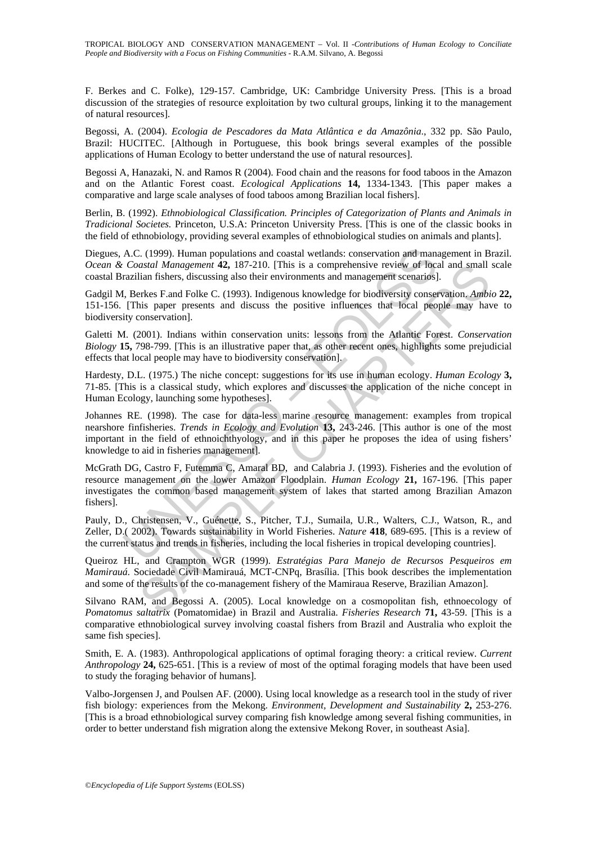F. Berkes and C. Folke), 129-157*.* Cambridge, UK: Cambridge University Press. [This is a broad discussion of the strategies of resource exploitation by two cultural groups, linking it to the management of natural resources].

Begossi, A. (2004). *Ecologia de Pescadores da Mata Atlântica e da Amazônia*., 332 pp. São Paulo, Brazil: HUCITEC. [Although in Portuguese, this book brings several examples of the possible applications of Human Ecology to better understand the use of natural resources].

Begossi A, Hanazaki, N. and Ramos R (2004). Food chain and the reasons for food taboos in the Amazon and on the Atlantic Forest coast. *Ecological Applications* **14,** 1334-1343. [This paper makes a comparative and large scale analyses of food taboos among Brazilian local fishers].

Berlin, B. (1992). *Ethnobiological Classification. Principles of Categorization of Plants and Animals in Tradicional Societes.* Princeton, U.S.A: Princeton University Press. [This is one of the classic books in the field of ethnobiology, providing several examples of ethnobiological studies on animals and plants].

Diegues, A.C. (1999). Human populations and coastal wetlands: conservation and management in Brazil. *Ocean & Coastal Management* **42,** 187-210. [This is a comprehensive review of local and small scale coastal Brazilian fishers, discussing also their environments and management scenarios].

Gadgil M, Berkes F.and Folke C. (1993). Indigenous knowledge for biodiversity conservation. *Ambio* **22,** 151-156. [This paper presents and discuss the positive influences that local people may have to biodiversity conservation].

Galetti M. (2001). Indians within conservation units: lessons from the Atlantic Forest. *Conservation Biology* **15,** 798-799. [This is an illustrative paper that, as other recent ones, highlights some prejudicial effects that local people may have to biodiversity conservation].

Hardesty, D.L. (1975.) The niche concept: suggestions for its use in human ecology. *Human Ecology* **3,** 71-85. [This is a classical study, which explores and discusses the application of the niche concept in Human Ecology, launching some hypotheses].

A.C. (1999). Human populations and coastal wetlands: conservation and mana<br>
Coastal Management 42, 187-210. [This is a comprehensive review of loca<br>
razilian fishers, discussing also their environments and management scena arad Management 42, 187-210. (This is a compenhenive review of becal and small<br>alian fishers, discussing also their environments and management scenarios].<br>
Herks F. and Folke C. (1993). Indigenous knowledge for biodivers Johannes RE. (1998). The case for data-less marine resource management: examples from tropical nearshore finfisheries. *Trends in Ecology and Evolution* **13,** 243-246. [This author is one of the most important in the field of ethnoichthyology, and in this paper he proposes the idea of using fishers' knowledge to aid in fisheries management].

McGrath DG, Castro F, Futemma C, Amaral BD, and Calabria J. (1993). Fisheries and the evolution of resource management on the lower Amazon Floodplain. *Human Ecology* **21,** 167-196. [This paper investigates the common based management system of lakes that started among Brazilian Amazon fishers].

Pauly, D., Christensen, V., Guénette, S., Pitcher, T.J., Sumaila, U.R., Walters, C.J., Watson, R., and Zeller, D.( 2002). Towards sustainability in World Fisheries. *Nature* **418**, 689-695. [This is a review of the current status and trends in fisheries, including the local fisheries in tropical developing countries].

Queiroz HL, and Crampton WGR (1999). *Estratégias Para Manejo de Recursos Pesqueiros em Mamirauá*. Sociedade Civil Mamirauá, MCT-CNPq, Brasília. [This book describes the implementation and some of the results of the co-management fishery of the Mamiraua Reserve, Brazilian Amazon].

Silvano RAM, and Begossi A. (2005). Local knowledge on a cosmopolitan fish, ethnoecology of *Pomatomus saltatrix* (Pomatomidae) in Brazil and Australia. *Fisheries Research* **71,** 43-59. [This is a comparative ethnobiological survey involving coastal fishers from Brazil and Australia who exploit the same fish species].

Smith, E. A. (1983). Anthropological applications of optimal foraging theory: a critical review. *Current Anthropology* **24,** 625-651. [This is a review of most of the optimal foraging models that have been used to study the foraging behavior of humans].

Valbo-Jorgensen J, and Poulsen AF. (2000). Using local knowledge as a research tool in the study of river fish biology: experiences from the Mekong. *Environment, Development and Sustainability* **2,** 253-276. [This is a broad ethnobiological survey comparing fish knowledge among several fishing communities, in order to better understand fish migration along the extensive Mekong Rover, in southeast Asia].